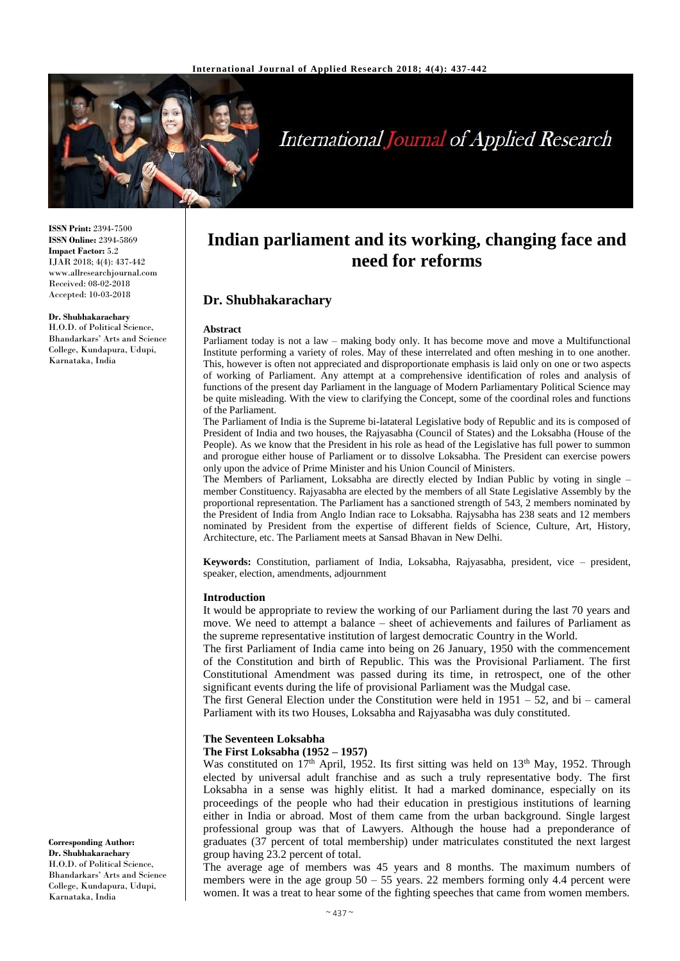

# **International Journal of Applied Research**

**ISSN Print:** 2394-7500 **ISSN Online:** 2394-5869 **Impact Factor:** 5.2 IJAR 2018; 4(4): 437-442 www.allresearchjournal.com Received: 08-02-2018 Accepted: 10-03-2018

#### **Dr. Shubhakarachary**

H.O.D. of Political Science, Bhandarkars' Arts and Science College, Kundapura, Udupi, Karnataka, India

**Indian parliament and its working, changing face and need for reforms**

# **Dr. Shubhakarachary**

#### **Abstract**

Parliament today is not a law – making body only. It has become move and move a Multifunctional Institute performing a variety of roles. May of these interrelated and often meshing in to one another. This, however is often not appreciated and disproportionate emphasis is laid only on one or two aspects of working of Parliament. Any attempt at a comprehensive identification of roles and analysis of functions of the present day Parliament in the language of Modern Parliamentary Political Science may be quite misleading. With the view to clarifying the Concept, some of the coordinal roles and functions of the Parliament.

The Parliament of India is the Supreme bi-latateral Legislative body of Republic and its is composed of President of India and two houses, the Rajyasabha (Council of States) and the Loksabha (House of the People). As we know that the President in his role as head of the Legislative has full power to summon and prorogue either house of Parliament or to dissolve Loksabha. The President can exercise powers only upon the advice of Prime Minister and his Union Council of Ministers.

The Members of Parliament, Loksabha are directly elected by Indian Public by voting in single – member Constituency. Rajyasabha are elected by the members of all State Legislative Assembly by the proportional representation. The Parliament has a sanctioned strength of 543, 2 members nominated by the President of India from Anglo Indian race to Loksabha. Rajysabha has 238 seats and 12 members nominated by President from the expertise of different fields of Science, Culture, Art, History, Architecture, etc. The Parliament meets at Sansad Bhavan in New Delhi.

**Keywords:** Constitution, parliament of India, Loksabha, Rajyasabha, president, vice – president, speaker, election, amendments, adjournment

#### **Introduction**

It would be appropriate to review the working of our Parliament during the last 70 years and move. We need to attempt a balance – sheet of achievements and failures of Parliament as the supreme representative institution of largest democratic Country in the World.

The first Parliament of India came into being on 26 January, 1950 with the commencement of the Constitution and birth of Republic. This was the Provisional Parliament. The first Constitutional Amendment was passed during its time, in retrospect, one of the other significant events during the life of provisional Parliament was the Mudgal case.

The first General Election under the Constitution were held in 1951 – 52, and bi – cameral Parliament with its two Houses, Loksabha and Rajyasabha was duly constituted.

#### **The Seventeen Loksabha**

#### **The First Loksabha (1952 – 1957)**

Was constituted on 17<sup>th</sup> April, 1952. Its first sitting was held on 13<sup>th</sup> May, 1952. Through elected by universal adult franchise and as such a truly representative body. The first Loksabha in a sense was highly elitist. It had a marked dominance, especially on its proceedings of the people who had their education in prestigious institutions of learning either in India or abroad. Most of them came from the urban background. Single largest professional group was that of Lawyers. Although the house had a preponderance of graduates (37 percent of total membership) under matriculates constituted the next largest group having 23.2 percent of total.

The average age of members was 45 years and 8 months. The maximum numbers of members were in the age group  $50 - 55$  years. 22 members forming only 4.4 percent were women. It was a treat to hear some of the fighting speeches that came from women members.

**Corresponding Author: Dr. Shubhakarachary** H.O.D. of Political Science, Bhandarkars' Arts and Science College, Kundapura, Udupi, Karnataka, India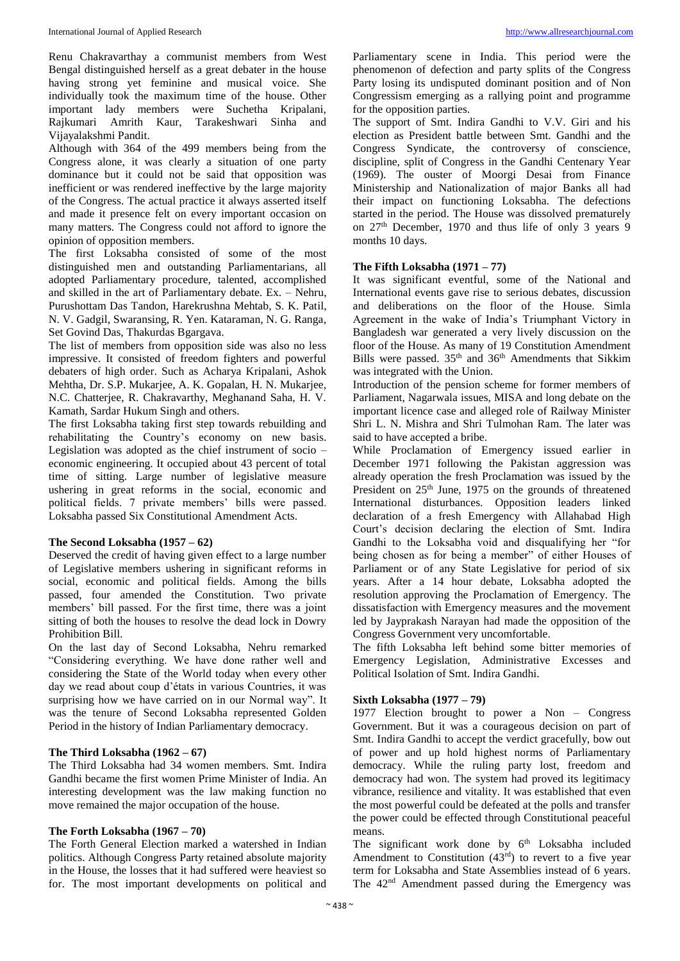Renu Chakravarthay a communist members from West Bengal distinguished herself as a great debater in the house having strong yet feminine and musical voice. She individually took the maximum time of the house. Other important lady members were Suchetha Kripalani, Rajkumari Amrith Kaur, Tarakeshwari Sinha and Vijayalakshmi Pandit.

Although with 364 of the 499 members being from the Congress alone, it was clearly a situation of one party dominance but it could not be said that opposition was inefficient or was rendered ineffective by the large majority of the Congress. The actual practice it always asserted itself and made it presence felt on every important occasion on many matters. The Congress could not afford to ignore the opinion of opposition members.

The first Loksabha consisted of some of the most distinguished men and outstanding Parliamentarians, all adopted Parliamentary procedure, talented, accomplished and skilled in the art of Parliamentary debate. Ex. – Nehru, Purushottam Das Tandon, Harekrushna Mehtab, S. K. Patil, N. V. Gadgil, Swaransing, R. Yen. Kataraman, N. G. Ranga, Set Govind Das, Thakurdas Bgargava.

The list of members from opposition side was also no less impressive. It consisted of freedom fighters and powerful debaters of high order. Such as Acharya Kripalani, Ashok Mehtha, Dr. S.P. Mukarjee, A. K. Gopalan, H. N. Mukarjee, N.C. Chatterjee, R. Chakravarthy, Meghanand Saha, H. V. Kamath, Sardar Hukum Singh and others.

The first Loksabha taking first step towards rebuilding and rehabilitating the Country's economy on new basis. Legislation was adopted as the chief instrument of socio – economic engineering. It occupied about 43 percent of total time of sitting. Large number of legislative measure ushering in great reforms in the social, economic and political fields. 7 private members' bills were passed. Loksabha passed Six Constitutional Amendment Acts.

#### **The Second Loksabha (1957 – 62)**

Deserved the credit of having given effect to a large number of Legislative members ushering in significant reforms in social, economic and political fields. Among the bills passed, four amended the Constitution. Two private members' bill passed. For the first time, there was a joint sitting of both the houses to resolve the dead lock in Dowry Prohibition Bill.

On the last day of Second Loksabha, Nehru remarked "Considering everything. We have done rather well and considering the State of the World today when every other day we read about coup d'états in various Countries, it was surprising how we have carried on in our Normal way". It was the tenure of Second Loksabha represented Golden Period in the history of Indian Parliamentary democracy.

#### **The Third Loksabha (1962 – 67)**

The Third Loksabha had 34 women members. Smt. Indira Gandhi became the first women Prime Minister of India. An interesting development was the law making function no move remained the major occupation of the house.

#### **The Forth Loksabha (1967 – 70)**

The Forth General Election marked a watershed in Indian politics. Although Congress Party retained absolute majority in the House, the losses that it had suffered were heaviest so for. The most important developments on political and Parliamentary scene in India. This period were the phenomenon of defection and party splits of the Congress Party losing its undisputed dominant position and of Non Congressism emerging as a rallying point and programme for the opposition parties.

The support of Smt. Indira Gandhi to V.V. Giri and his election as President battle between Smt. Gandhi and the Congress Syndicate, the controversy of conscience, discipline, split of Congress in the Gandhi Centenary Year (1969). The ouster of Moorgi Desai from Finance Ministership and Nationalization of major Banks all had their impact on functioning Loksabha. The defections started in the period. The House was dissolved prematurely on  $27<sup>th</sup>$  December, 1970 and thus life of only 3 years 9 months 10 days.

#### **The Fifth Loksabha (1971 – 77)**

It was significant eventful, some of the National and International events gave rise to serious debates, discussion and deliberations on the floor of the House. Simla Agreement in the wake of India's Triumphant Victory in Bangladesh war generated a very lively discussion on the floor of the House. As many of 19 Constitution Amendment Bills were passed. 35<sup>th</sup> and 36<sup>th</sup> Amendments that Sikkim was integrated with the Union.

Introduction of the pension scheme for former members of Parliament, Nagarwala issues, MISA and long debate on the important licence case and alleged role of Railway Minister Shri L. N. Mishra and Shri Tulmohan Ram. The later was said to have accepted a bribe.

While Proclamation of Emergency issued earlier in December 1971 following the Pakistan aggression was already operation the fresh Proclamation was issued by the President on 25<sup>th</sup> June, 1975 on the grounds of threatened International disturbances. Opposition leaders linked declaration of a fresh Emergency with Allahabad High Court's decision declaring the election of Smt. Indira Gandhi to the Loksabha void and disqualifying her "for being chosen as for being a member" of either Houses of Parliament or of any State Legislative for period of six years. After a 14 hour debate, Loksabha adopted the resolution approving the Proclamation of Emergency. The dissatisfaction with Emergency measures and the movement led by Jayprakash Narayan had made the opposition of the Congress Government very uncomfortable.

The fifth Loksabha left behind some bitter memories of Emergency Legislation, Administrative Excesses and Political Isolation of Smt. Indira Gandhi.

## **Sixth Loksabha (1977 – 79)**

1977 Election brought to power a Non – Congress Government. But it was a courageous decision on part of Smt. Indira Gandhi to accept the verdict gracefully, bow out of power and up hold highest norms of Parliamentary democracy. While the ruling party lost, freedom and democracy had won. The system had proved its legitimacy vibrance, resilience and vitality. It was established that even the most powerful could be defeated at the polls and transfer the power could be effected through Constitutional peaceful means.

The significant work done by 6<sup>th</sup> Loksabha included Amendment to Constitution  $(43<sup>rd</sup>)$  to revert to a five year term for Loksabha and State Assemblies instead of 6 years. The 42<sup>nd</sup> Amendment passed during the Emergency was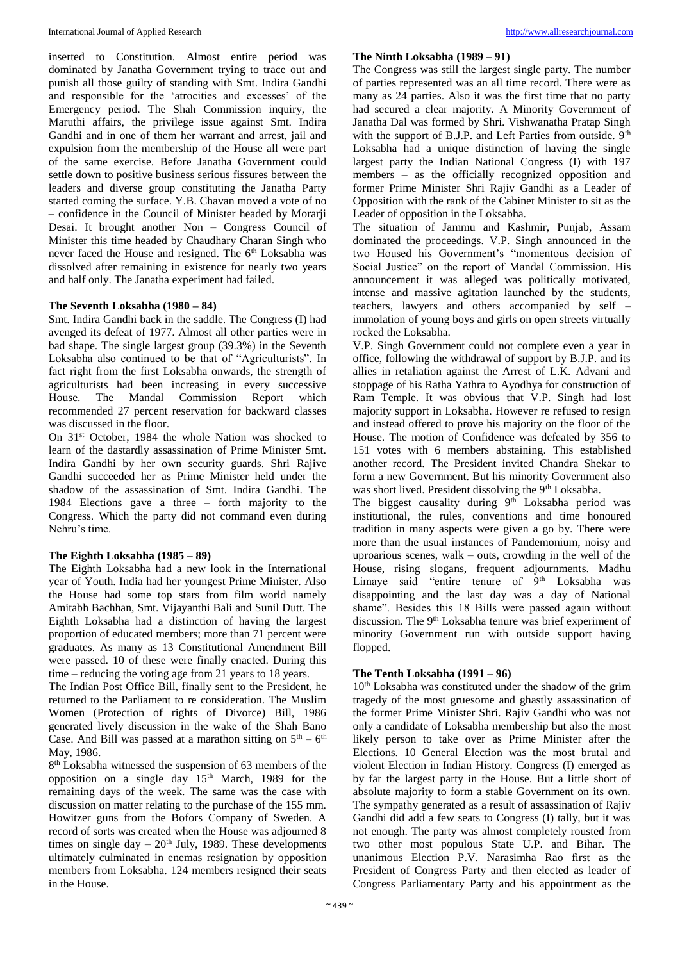inserted to Constitution. Almost entire period was dominated by Janatha Government trying to trace out and punish all those guilty of standing with Smt. Indira Gandhi and responsible for the 'atrocities and excesses' of the Emergency period. The Shah Commission inquiry, the Maruthi affairs, the privilege issue against Smt. Indira Gandhi and in one of them her warrant and arrest, jail and expulsion from the membership of the House all were part of the same exercise. Before Janatha Government could settle down to positive business serious fissures between the leaders and diverse group constituting the Janatha Party started coming the surface. Y.B. Chavan moved a vote of no – confidence in the Council of Minister headed by Morarji Desai. It brought another Non – Congress Council of Minister this time headed by Chaudhary Charan Singh who never faced the House and resigned. The 6<sup>th</sup> Loksabha was dissolved after remaining in existence for nearly two years and half only. The Janatha experiment had failed.

#### **The Seventh Loksabha (1980 – 84)**

Smt. Indira Gandhi back in the saddle. The Congress (I) had avenged its defeat of 1977. Almost all other parties were in bad shape. The single largest group (39.3%) in the Seventh Loksabha also continued to be that of "Agriculturists". In fact right from the first Loksabha onwards, the strength of agriculturists had been increasing in every successive House. The Mandal Commission Report which recommended 27 percent reservation for backward classes was discussed in the floor.

On 31<sup>st</sup> October, 1984 the whole Nation was shocked to learn of the dastardly assassination of Prime Minister Smt. Indira Gandhi by her own security guards. Shri Rajive Gandhi succeeded her as Prime Minister held under the shadow of the assassination of Smt. Indira Gandhi. The 1984 Elections gave a three – forth majority to the Congress. Which the party did not command even during Nehru's time.

#### **The Eighth Loksabha (1985 – 89)**

The Eighth Loksabha had a new look in the International year of Youth. India had her youngest Prime Minister. Also the House had some top stars from film world namely Amitabh Bachhan, Smt. Vijayanthi Bali and Sunil Dutt. The Eighth Loksabha had a distinction of having the largest proportion of educated members; more than 71 percent were graduates. As many as 13 Constitutional Amendment Bill were passed. 10 of these were finally enacted. During this time – reducing the voting age from 21 years to 18 years.

The Indian Post Office Bill, finally sent to the President, he returned to the Parliament to re consideration. The Muslim Women (Protection of rights of Divorce) Bill, 1986 generated lively discussion in the wake of the Shah Bano Case. And Bill was passed at a marathon sitting on  $5<sup>th</sup> - 6<sup>th</sup>$ May, 1986.

8<sup>th</sup> Loksabha witnessed the suspension of 63 members of the opposition on a single day  $15<sup>th</sup>$  March, 1989 for the remaining days of the week. The same was the case with discussion on matter relating to the purchase of the 155 mm. Howitzer guns from the Bofors Company of Sweden. A record of sorts was created when the House was adjourned 8 times on single day –  $20<sup>th</sup>$  July, 1989. These developments ultimately culminated in enemas resignation by opposition members from Loksabha. 124 members resigned their seats in the House.

#### **The Ninth Loksabha (1989 – 91)**

The Congress was still the largest single party. The number of parties represented was an all time record. There were as many as 24 parties. Also it was the first time that no party had secured a clear majority. A Minority Government of Janatha Dal was formed by Shri. Vishwanatha Pratap Singh with the support of B.J.P. and Left Parties from outside. 9<sup>th</sup> Loksabha had a unique distinction of having the single largest party the Indian National Congress (I) with 197 members – as the officially recognized opposition and former Prime Minister Shri Rajiv Gandhi as a Leader of Opposition with the rank of the Cabinet Minister to sit as the Leader of opposition in the Loksabha.

The situation of Jammu and Kashmir, Punjab, Assam dominated the proceedings. V.P. Singh announced in the two Housed his Government's "momentous decision of Social Justice" on the report of Mandal Commission. His announcement it was alleged was politically motivated, intense and massive agitation launched by the students, teachers, lawyers and others accompanied by self – immolation of young boys and girls on open streets virtually rocked the Loksabha.

V.P. Singh Government could not complete even a year in office, following the withdrawal of support by B.J.P. and its allies in retaliation against the Arrest of L.K. Advani and stoppage of his Ratha Yathra to Ayodhya for construction of Ram Temple. It was obvious that V.P. Singh had lost majority support in Loksabha. However re refused to resign and instead offered to prove his majority on the floor of the House. The motion of Confidence was defeated by 356 to 151 votes with 6 members abstaining. This established another record. The President invited Chandra Shekar to form a new Government. But his minority Government also was short lived. President dissolving the 9<sup>th</sup> Loksabha.

The biggest causality during  $9<sup>th</sup>$  Loksabha period was institutional, the rules, conventions and time honoured tradition in many aspects were given a go by. There were more than the usual instances of Pandemonium, noisy and uproarious scenes, walk – outs, crowding in the well of the House, rising slogans, frequent adjournments. Madhu Limaye said "entire tenure of 9<sup>th</sup> Loksabha was disappointing and the last day was a day of National shame". Besides this 18 Bills were passed again without discussion. The 9<sup>th</sup> Loksabha tenure was brief experiment of minority Government run with outside support having flopped.

## **The Tenth Loksabha (1991 – 96)**

10<sup>th</sup> Loksabha was constituted under the shadow of the grim tragedy of the most gruesome and ghastly assassination of the former Prime Minister Shri. Rajiv Gandhi who was not only a candidate of Loksabha membership but also the most likely person to take over as Prime Minister after the Elections. 10 General Election was the most brutal and violent Election in Indian History. Congress (I) emerged as by far the largest party in the House. But a little short of absolute majority to form a stable Government on its own. The sympathy generated as a result of assassination of Rajiv Gandhi did add a few seats to Congress (I) tally, but it was not enough. The party was almost completely rousted from two other most populous State U.P. and Bihar. The unanimous Election P.V. Narasimha Rao first as the President of Congress Party and then elected as leader of Congress Parliamentary Party and his appointment as the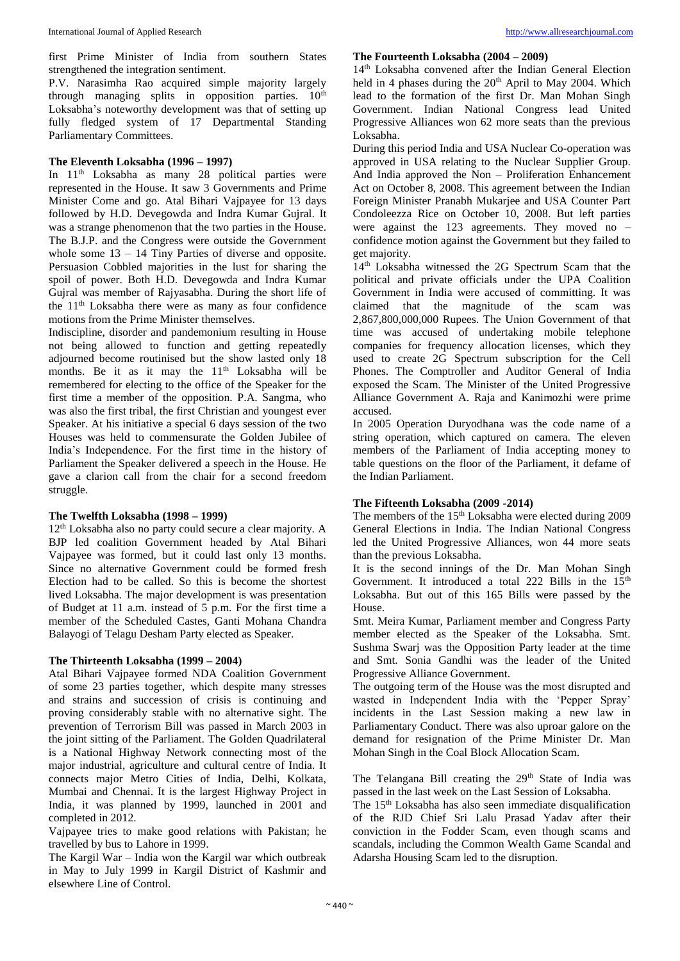first Prime Minister of India from southern States strengthened the integration sentiment.

P.V. Narasimha Rao acquired simple majority largely through managing splits in opposition parties.  $10<sup>th</sup>$ Loksabha's noteworthy development was that of setting up fully fledged system of 17 Departmental Standing Parliamentary Committees.

#### **The Eleventh Loksabha (1996 – 1997)**

In 11<sup>th</sup> Loksabha as many 28 political parties were represented in the House. It saw 3 Governments and Prime Minister Come and go. Atal Bihari Vajpayee for 13 days followed by H.D. Devegowda and Indra Kumar Gujral. It was a strange phenomenon that the two parties in the House. The B.J.P. and the Congress were outside the Government whole some  $13 - 14$  Tiny Parties of diverse and opposite. Persuasion Cobbled majorities in the lust for sharing the spoil of power. Both H.D. Devegowda and Indra Kumar Gujral was member of Rajyasabha. During the short life of the 11th Loksabha there were as many as four confidence motions from the Prime Minister themselves.

Indiscipline, disorder and pandemonium resulting in House not being allowed to function and getting repeatedly adjourned become routinised but the show lasted only 18 months. Be it as it may the 11<sup>th</sup> Loksabha will be remembered for electing to the office of the Speaker for the first time a member of the opposition. P.A. Sangma, who was also the first tribal, the first Christian and youngest ever Speaker. At his initiative a special 6 days session of the two Houses was held to commensurate the Golden Jubilee of India's Independence. For the first time in the history of Parliament the Speaker delivered a speech in the House. He gave a clarion call from the chair for a second freedom struggle.

#### **The Twelfth Loksabha (1998 – 1999)**

12<sup>th</sup> Loksabha also no party could secure a clear majority. A BJP led coalition Government headed by Atal Bihari Vajpayee was formed, but it could last only 13 months. Since no alternative Government could be formed fresh Election had to be called. So this is become the shortest lived Loksabha. The major development is was presentation of Budget at 11 a.m. instead of 5 p.m. For the first time a member of the Scheduled Castes, Ganti Mohana Chandra Balayogi of Telagu Desham Party elected as Speaker.

#### **The Thirteenth Loksabha (1999 – 2004)**

Atal Bihari Vajpayee formed NDA Coalition Government of some 23 parties together, which despite many stresses and strains and succession of crisis is continuing and proving considerably stable with no alternative sight. The prevention of Terrorism Bill was passed in March 2003 in the joint sitting of the Parliament. The Golden Quadrilateral is a National Highway Network connecting most of the major industrial, agriculture and cultural centre of India. It connects major Metro Cities of India, Delhi, Kolkata, Mumbai and Chennai. It is the largest Highway Project in India, it was planned by 1999, launched in 2001 and completed in 2012.

Vajpayee tries to make good relations with Pakistan; he travelled by bus to Lahore in 1999.

The Kargil War – India won the Kargil war which outbreak in May to July 1999 in Kargil District of Kashmir and elsewhere Line of Control.

#### **The Fourteenth Loksabha (2004 – 2009)**

14th Loksabha convened after the Indian General Election held in 4 phases during the  $20<sup>th</sup>$  April to May 2004. Which lead to the formation of the first Dr. Man Mohan Singh Government. Indian National Congress lead United Progressive Alliances won 62 more seats than the previous Loksabha.

During this period India and USA Nuclear Co-operation was approved in USA relating to the Nuclear Supplier Group. And India approved the Non – Proliferation Enhancement Act on October 8, 2008. This agreement between the Indian Foreign Minister Pranabh Mukarjee and USA Counter Part Condoleezza Rice on October 10, 2008. But left parties were against the  $123$  agreements. They moved no – confidence motion against the Government but they failed to get majority.

14th Loksabha witnessed the 2G Spectrum Scam that the political and private officials under the UPA Coalition Government in India were accused of committing. It was claimed that the magnitude of the scam was 2,867,800,000,000 Rupees. The Union Government of that time was accused of undertaking mobile telephone companies for frequency allocation licenses, which they used to create 2G Spectrum subscription for the Cell Phones. The Comptroller and Auditor General of India exposed the Scam. The Minister of the United Progressive Alliance Government A. Raja and Kanimozhi were prime accused.

In 2005 Operation Duryodhana was the code name of a string operation, which captured on camera. The eleven members of the Parliament of India accepting money to table questions on the floor of the Parliament, it defame of the Indian Parliament.

#### **The Fifteenth Loksabha (2009 -2014)**

The members of the  $15<sup>th</sup>$  Loksabha were elected during 2009 General Elections in India. The Indian National Congress led the United Progressive Alliances, won 44 more seats than the previous Loksabha.

It is the second innings of the Dr. Man Mohan Singh Government. It introduced a total 222 Bills in the 15<sup>th</sup> Loksabha. But out of this 165 Bills were passed by the House.

Smt. Meira Kumar, Parliament member and Congress Party member elected as the Speaker of the Loksabha. Smt. Sushma Swarj was the Opposition Party leader at the time and Smt. Sonia Gandhi was the leader of the United Progressive Alliance Government.

The outgoing term of the House was the most disrupted and wasted in Independent India with the 'Pepper Spray' incidents in the Last Session making a new law in Parliamentary Conduct. There was also uproar galore on the demand for resignation of the Prime Minister Dr. Man Mohan Singh in the Coal Block Allocation Scam.

The Telangana Bill creating the  $29<sup>th</sup>$  State of India was passed in the last week on the Last Session of Loksabha.

The 15<sup>th</sup> Loksabha has also seen immediate disqualification of the RJD Chief Sri Lalu Prasad Yadav after their conviction in the Fodder Scam, even though scams and scandals, including the Common Wealth Game Scandal and Adarsha Housing Scam led to the disruption.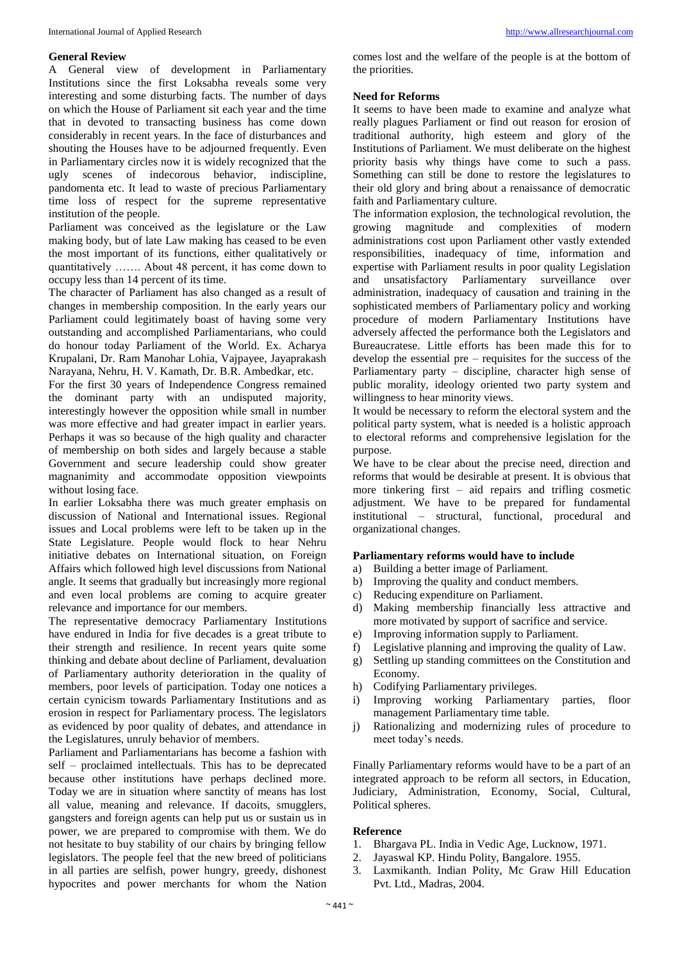#### **General Review**

A General view of development in Parliamentary Institutions since the first Loksabha reveals some very interesting and some disturbing facts. The number of days on which the House of Parliament sit each year and the time that in devoted to transacting business has come down considerably in recent years. In the face of disturbances and shouting the Houses have to be adjourned frequently. Even in Parliamentary circles now it is widely recognized that the ugly scenes of indecorous behavior, indiscipline, pandomenta etc. It lead to waste of precious Parliamentary time loss of respect for the supreme representative institution of the people.

Parliament was conceived as the legislature or the Law making body, but of late Law making has ceased to be even the most important of its functions, either qualitatively or quantitatively ……. About 48 percent, it has come down to occupy less than 14 percent of its time.

The character of Parliament has also changed as a result of changes in membership composition. In the early years our Parliament could legitimately boast of having some very outstanding and accomplished Parliamentarians, who could do honour today Parliament of the World. Ex. Acharya Krupalani, Dr. Ram Manohar Lohia, Vajpayee, Jayaprakash Narayana, Nehru, H. V. Kamath, Dr. B.R. Ambedkar, etc.

For the first 30 years of Independence Congress remained the dominant party with an undisputed majority, interestingly however the opposition while small in number was more effective and had greater impact in earlier years. Perhaps it was so because of the high quality and character of membership on both sides and largely because a stable Government and secure leadership could show greater magnanimity and accommodate opposition viewpoints without losing face.

In earlier Loksabha there was much greater emphasis on discussion of National and International issues. Regional issues and Local problems were left to be taken up in the State Legislature. People would flock to hear Nehru initiative debates on International situation, on Foreign Affairs which followed high level discussions from National angle. It seems that gradually but increasingly more regional and even local problems are coming to acquire greater relevance and importance for our members.

The representative democracy Parliamentary Institutions have endured in India for five decades is a great tribute to their strength and resilience. In recent years quite some thinking and debate about decline of Parliament, devaluation of Parliamentary authority deterioration in the quality of members, poor levels of participation. Today one notices a certain cynicism towards Parliamentary Institutions and as erosion in respect for Parliamentary process. The legislators as evidenced by poor quality of debates, and attendance in the Legislatures, unruly behavior of members.

Parliament and Parliamentarians has become a fashion with self – proclaimed intellectuals. This has to be deprecated because other institutions have perhaps declined more. Today we are in situation where sanctity of means has lost all value, meaning and relevance. If dacoits, smugglers, gangsters and foreign agents can help put us or sustain us in power, we are prepared to compromise with them. We do not hesitate to buy stability of our chairs by bringing fellow legislators. The people feel that the new breed of politicians in all parties are selfish, power hungry, greedy, dishonest hypocrites and power merchants for whom the Nation

comes lost and the welfare of the people is at the bottom of the priorities.

#### **Need for Reforms**

It seems to have been made to examine and analyze what really plagues Parliament or find out reason for erosion of traditional authority, high esteem and glory of the Institutions of Parliament. We must deliberate on the highest priority basis why things have come to such a pass. Something can still be done to restore the legislatures to their old glory and bring about a renaissance of democratic faith and Parliamentary culture.

The information explosion, the technological revolution, the growing magnitude and complexities of modern administrations cost upon Parliament other vastly extended responsibilities, inadequacy of time, information and expertise with Parliament results in poor quality Legislation and unsatisfactory Parliamentary surveillance over administration, inadequacy of causation and training in the sophisticated members of Parliamentary policy and working procedure of modern Parliamentary Institutions have adversely affected the performance both the Legislators and Bureaucratese. Little efforts has been made this for to develop the essential pre – requisites for the success of the Parliamentary party – discipline, character high sense of public morality, ideology oriented two party system and willingness to hear minority views.

It would be necessary to reform the electoral system and the political party system, what is needed is a holistic approach to electoral reforms and comprehensive legislation for the purpose.

We have to be clear about the precise need, direction and reforms that would be desirable at present. It is obvious that more tinkering first – aid repairs and trifling cosmetic adjustment. We have to be prepared for fundamental institutional – structural, functional, procedural and organizational changes.

#### **Parliamentary reforms would have to include**

- a) Building a better image of Parliament.
- b) Improving the quality and conduct members.
- c) Reducing expenditure on Parliament.
- d) Making membership financially less attractive and more motivated by support of sacrifice and service.
- e) Improving information supply to Parliament.
- f) Legislative planning and improving the quality of Law.
- g) Settling up standing committees on the Constitution and Economy.
- h) Codifying Parliamentary privileges.
- i) Improving working Parliamentary parties, floor management Parliamentary time table.
- j) Rationalizing and modernizing rules of procedure to meet today's needs.

Finally Parliamentary reforms would have to be a part of an integrated approach to be reform all sectors, in Education, Judiciary, Administration, Economy, Social, Cultural, Political spheres.

#### **Reference**

- 1. Bhargava PL. India in Vedic Age, Lucknow, 1971.
- 2. Jayaswal KP. Hindu Polity, Bangalore. 1955.
- 3. Laxmikanth. Indian Polity, Mc Graw Hill Education Pvt. Ltd., Madras, 2004.